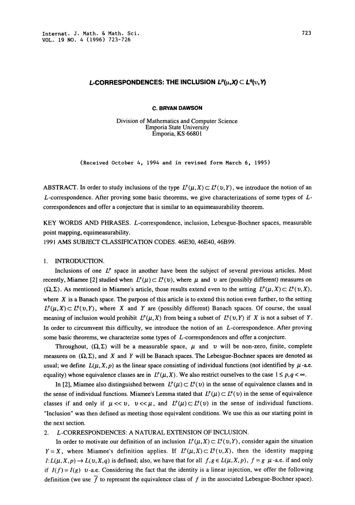# L-CORRESPONDENCES: THE INCLUSION  $L^p(\mu,X) \subset L^q(\nu, Y)$

### c. BRYAN DAWSON

Division of Mathematics and Computer Science Emporia State University Emporia, KS 66801

(Received October 4, 1994 and in revised form March 6, 1995)

ABSTRACT. In order to study inclusions of the type  $L^p(\mu,X) \subset L^q(\nu,Y)$ , we introduce the notion of an L-correspondence. After proving some basic theorems, we give characterizations of some types of Lcorrespondences and offer a conjecture that is similar to an equimeasurability theorem.

KEY WORDS AND PHRASES. L-correspondence, inclusion, Lebesgue-Bochner spaces, measurable point mapping, equimeasurability.

<sup>1991</sup> AMS SUBJECT CLASSIFICATION CODES. 46E30, 46E40, 46B99.

### 1. INTRODUCTION.

Inclusions of one  $L^p$  space in another have been the subject of several previous articles. Most recently, Miamee [2] studied when  $L^p(\mu) \subset L^q(\nu)$ , where  $\mu$  and  $\nu$  are (possibly different) measures on  $(\Omega, \Sigma)$ . As mentioned in Miamee's article, those results extend even to the setting  $L^p(\mu, X) \subset L^q(\nu, X)$ , where  $X$  is a Banach space. The purpose of this article is to extend this notion even further, to the setting  $L^p(\mu,X) \subset L^q(\nu,Y)$ , where X and Y are (possibly different) Banach spaces. Of course, the usual meaning of inclusion would prohibit  $L^p(\mu, X)$  from being a subset of  $L^q(\nu, Y)$  if X is not a subset of Y. In order to circumvent this difficulty, we introduce the notion of an  $L$ -correspondence. After proving some basic theorems, we characterize some types of  $L$ -correspondences and offer a conjecture.

Throughout,  $(\Omega, \Sigma)$  will be a measurable space,  $\mu$  and v will be non-zero, finite, complete measures on  $(\Omega, \Sigma)$ , and X and Y will be Banach spaces. The Lebesgue-Bochner spaces are denoted as usual; we define  $L(\mu, X, p)$  as the linear space consisting of individual functions (not identified by  $\mu$ -a.e. equality) whose equivalence classes are in  $L^p(\mu, X)$ . We also restrict ourselves to the case  $1 \leq p, q < \infty$ .

In [2], Miamee also distinguished between  $L^p(\mu) \subset L^q(\nu)$  in the sense of equivalence classes and in the sense of individual functions. Miamee's Lemma stated that  $L^p(\mu) \subset L^q(\nu)$  in the sense of equivalence classes if and only if  $\mu \ll v$ ,  $v \ll \mu$ , and  $L^p(\mu) \subset L^q(v)$  in the sense of individual functions. "Inclusion" was then defined as meeting those equivalent conditions. We use this as our starting point in the next section.

## 2. L-CORRESPONDENCES: A NATURAL EXTENSION OF INCLUSION.

In order to motivate our definition of an inclusion  $L^p(\mu, X) \subset L^q(\nu, Y)$ , consider again the situation  $Y = X$ , where Miamee's definition applies. If  $L^p(\mu,X) \subset L^q(\nu,X)$ , then the identity mapping  $I: L(\mu, X, p) \to L(\nu, X, q)$  is defined; also, we have that for all  $f, g \in L(\mu, X, p)$ ,  $f = g \mu$ -a.e. if and only if  $I(f) = I(g)$  v-a.e. Considering the fact that the identity is a linear injection, we offer the following definition (we use  $\overline{f}$  to represent the equivalence class of f in the associated Lebesgue-Bochner space).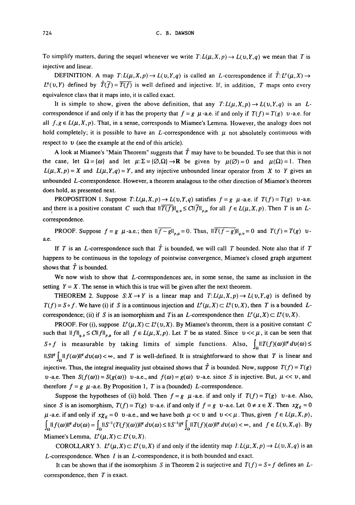To simplify matters, during the sequel whenever we write  $T: L(\mu, X, p) \to L(\nu, Y, q)$  we mean that T is injective and linear.

DEFINITION. A map  $T: L(\mu, X, p) \to L(\nu, Y, q)$  is called an L-correspondence if  $\hat{T}: L^{\nu}(\mu, X) \to$  $L^{q}(v,Y)$  defined by  $\hat{T}(\bar{f})=\overline{T(f)}$  is well defined and injective. If, in addition, T maps onto every equivalence class that it maps into, it is called exact.

It is simple to show, given the above definition, that any  $T: L(\mu, X, p) \to L(\nu, Y, q)$  is an Lcorrespondence if and only if it has the property that  $f = g$   $\mu$ -a.e. if and only if  $T(f) = T(g)$  v-a.e. for all  $f, g \in L(\mu, X, p)$ . That, in a sense, corresponds to Miamee's Lemma. However, the analogy does not hold completely; it is possible to have an L-correspondence with  $\mu$  not absolutely continuous with respect to  $v$  (see the example at the end of this article).

A look at Miamee's "Main Theorem" suggests that  $\hat{T}$  may have to be bounded. To see that this is not the case, let  $\Omega = {\omega}$  and let  $\mu: \Sigma = {\varnothing, \Omega} \rightarrow \mathbb{R}$  be given by  $\mu(\varnothing) = 0$  and  $\mu(\Omega) = 1$ . Then  $L(\mu, X, p) = X$  and  $L(\mu, Y, q) = Y$ , and any injective unbounded linear operator from X to Y gives an unbounded  $L$ -correspondence. However, a theorem analagous to the other direction of Miamee's theorem does hold, as presented next.

**PROPOSITION** 1. Suppose  $T: L(\mu, X, p) \to L(\nu, Y, q)$  satisfies  $f = g \mu$ -a.e. if  $T(f) = T(g) \nu$ -a.e. and there is a positive constant C such that  $\|\overline{T(f)}\|_{q,v} \leq C\|\overline{f}\|_{p,\mu}$  for all  $f \in L(\mu,X,p)$ . Then T is an Lcorrespondence.

**PROOF.** Suppose  $f = g$   $\mu$ -a.e.; then  $\|\overline{f-g}\|_{p,\mu} = 0$ . Thus,  $\|\overline{T(f-g)}\|_{q,\nu} = 0$  and  $T(f) = T(g)$   $\nu$ a.e.

If T is an L-correspondence such that  $\hat{T}$  is bounded, we will call T bounded. Note also that if T happens to be continuous in the topology of pointwise convergence, Miamee's closed graph argument shows that  $T$  is bounded.

We now wish to show that  $L$ -correspondences are, in some sense, the same as inclusion in the setting  $Y = X$ . The sense in which this is true will be given after the next theorem.

THEOREM 2. Suppose  $S: X \to Y$  is a linear map and  $T: L(\mu, X, p) \to L(\nu, Y, q)$  is defined by  $T(f) = S \circ f$ . We have (i) if S is a continuous injection and  $L^p(\mu, X) \subset L^q(\nu, X)$ , then T is a bounded Lcorrespondence; (ii) if S is an isomorphism and T is an L-correspondence then  $L^p(\mu, X) \subset L^q(\nu, X)$ .

PROOF. For (i), suppose  $L^p(\mu,X) \subset L^q(\nu,X)$ . By Miamee's theorem, there is a positive constant C such that  $||f||_{q,v} \leq C||f||_{p,\mu}$  for all  $f \in L(\mu,X,p)$ . Let T be as stated. Since  $v \ll \mu$ , it can be seen that  $S \circ f$  is measurable by taking limits of simple functions. Also,  $\int_{0}^{1} \|T(f)(\omega)\|^q d\nu(\omega) \leq$  $\|\int \sin^{\alpha} |f(\omega)||^q dv(\omega) < \infty$ , and T is well-defined. It is straightforward to show that T is linear and injective. Thus, the integral inequality just obtained shows that T is bounded. Now, suppose  $T(f) = T(g)$  $v$ -a.e. Then  $S(f(\omega)) = S(g(\omega))$  v-a.e., and  $f(\omega) = g(\omega)$  v-a.e. since S is injective. But,  $\mu \ll v$ , and therefore  $f = g \mu$ -a.e. By Proposition 1, T is a (bounded) L-correspondence.

Suppose the hypotheses of (ii) hold. Then  $f = g$   $\mu$ -a.e. if and only if  $T(f) = T(g)$  v-a.e. Also, since S is an isomorphism,  $T(f) = T(g)$  v-a.e. if and only if  $f = g$  v-a.e. Let  $0 \neq x \in X$ . Then  $x\chi_{E} = 0$  $\mu$ -a.e. if and only if  $x\chi_E = 0$  v-a.e., and we have both  $\mu \ll v$  and  $v \ll \mu$ . Thus, given  $f \in L(\mu, X, p)$ ,  $\int_{\Omega} ||f(\omega)||^q dv(\omega) = \int_{\Omega} ||S^{-1}(T(f)(\omega))||^q dv(\omega) \leq ||S^{-1}||^q \int_{\Omega} ||T(f)(\omega)||^q dv(\omega) < \infty$ , and  $f \in L(\nu,X,q)$ . By Miamee's Lemma,  $L^p(\mu, X) \subset L^q(\nu, X)$ .

COROLLARY 3.  $L^p(\mu,X) \subset L^q(\nu,X)$  if and only if the identity map  $I: L(\mu,X,p) \to L(\nu,X,q)$  is an  $L$ -correspondence. When  $I$  is an  $L$ -correspondence, it is both bounded and exact.

It can be shown that if the isomorphism S in Theorem 2 is surjective and  $T(f) = S \circ f$  defines an Lcorrespondence, then  $T$  is exact.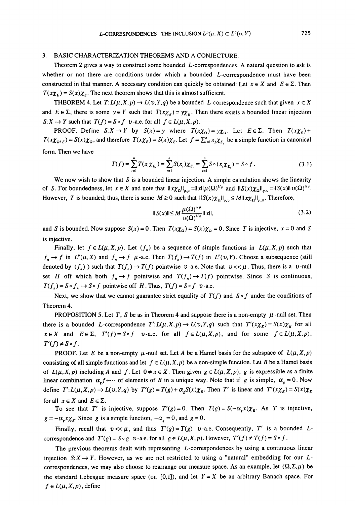### 3. BASIC CHARACTERIZATION THEOREMS AND A CONJECTURE.

Theorem <sup>2</sup> gives <sup>a</sup> way to construct some bounded L-correspondences. A natural question to ask is whether or not there are conditions under which a bounded  $L$ -correspondence must have been constructed in that manner. A necessary condition can quickly be obtained: Let  $x \in X$  and  $E \in \Sigma$ . Then  $T(x\chi_E) = S(x)\chi_E$ . The next theorem shows that this is almost sufficient.

THEOREM 4. Let  $T: L(\mu, X, p) \to L(\nu, Y, q)$  be a bounded L-correspondence such that given  $x \in X$ THEOREM 4. Let  $T: L(\mu, X, p) \to L(\nu, Y, q)$  be a bounded L-correspondence such that given  $x \in X$  and  $E \in \Sigma$ , there is some  $y \in Y$  such that  $T(x\chi_E) = y\chi_E$ . Then there exists a bounded linear injection  $S: X \to Y$  such that  $T(f) = S \circ f$  v-a.e. for all  $f \in L(\mu, X, p)$ .

**PROOF.** Define  $S: X \to Y$  by  $S(x) = y$  where  $T(x\chi_{\Omega}) = y\chi_{\Omega}$ . Let  $E \in \Sigma$ . Then  $T(x\chi_E) + T(x\chi_E) = T(x\chi_E)$  $T(x\chi_{\Omega\setminus E}) = S(x)\chi_{\Omega}$ , and therefore  $T(x\chi_{E}) = S(x)\chi_{E}$ . Let  $f = \sum_{i=1}^{n}x_{i}\chi_{E_{i}}$  be a simple function in canonical form. Then we have

$$
T(f) = \sum_{i=1}^{n} T(x_i \chi_{E_i}) = \sum_{i=1}^{n} S(x_i) \chi_{E_i} = \sum_{i=1}^{n} S \circ (x_i \chi_{E_i}) = S \circ f.
$$
 (3.1)

We now wish to show that S is a bounded linear injection. A simple calculation shows the linearity of S. For boundedness, let  $x \in X$  and note that  $\|\chi \chi_{\Omega}\|_{p,\mu} = \|\chi\| \mu(\Omega)^{1/p}$  and  $\|S(x)\chi_{\Omega}\|_{q,\nu} = \|S(x)\| \nu(\Omega)^{1/q}$ . However, T is bounded; thus, there is some  $M \ge 0$  such that  $||S(x)\chi_{\Omega}||_{a,v} \le M||x\chi_{\Omega}||_{a,u}$ . Therefore,

$$
||S(x)|| \leq M \frac{\mu(\Omega)^{1/p}}{\upsilon(\Omega)^{1/q}} ||x||,
$$
\n(3.2)

and S is bounded. Now suppose  $S(x) = 0$ . Then  $T(x\chi_0) = S(x)\chi_0 = 0$ . Since T is injective,  $x = 0$  and S is injective.

Finally, let  $f \in L(\mu, X, p)$ . Let  $(f_n)$  be a sequence of simple functions in  $L(\mu, X, p)$  such that  $f_n \to f$  in  $L^p(\mu, X)$  and  $f_n \to f$   $\mu$ -a.e. Then  $T(f_n) \to T(f)$  in  $L^p(\nu, Y)$ . Choose a subsequence (still  $f_n \to f$  in  $L^p(\mu, X)$  and  $f_n \to f \mu$ -a.e. Then  $T(f_n) \to T(f)$  in  $L^q(\nu, Y)$ . Choose a subsequence (still denoted by  $(f_n)$ ) such that  $T(f_n) \to T(f)$  pointwise  $\nu$ -a.e. Note that  $\nu \ll \mu$ . Thus, there is a  $\nu$ -null set H off which both  $f_n \to f$  pointwise and  $T(f_n) \to T(f)$  pointwise. Since S is continuous,  $T(f_n) = S \circ f_n \to S \circ f$  pointwise off H. Thus,  $T(f) = S \circ f$  v-a.e.

Next, we show that we cannot guarantee strict equality of  $T(f)$  and  $S \circ f$  under the conditions of Theorem 4.

**PROPOSITION 5. Let T, S be as in Theorem 4 and suppose there is a non-empty**  $\mu$ **-null set. Then** there is a bounded L-correspondence  $T':L(\mu,X,p)\to L(\nu,Y,q)$  such that  $T'(x\chi_E)=S(x)\chi_E$  for all  $x \in X$  and  $E \in \Sigma$ ,  $T'(f) = S \circ f$  v-a.e. for all  $f \in L(\mu, X, p)$ , and for some  $f \in L(\mu, X, p)$ ,  $T'(f) \neq S \circ f$ .

**PROOF.** Let E be a non-empty  $\mu$ -null set. Let A be a Hamel basis for the subspace of  $L(\mu, X, p)$ consisting of all simple functions and let  $f \in L(\mu, X, p)$  be a non-simple function. Let B be a Hamel basis of  $L(\mu, X, p)$  including A and f. Let  $0 \neq x \in X$ . Then given  $g \in L(\mu, X, p)$ , g is expressible as a finite linear combination  $\alpha_r f + \cdots$  of elements of B in a unique way. Note that if g is simple,  $\alpha_s = 0$ . Now define  $T':L(\mu,X,p)\to L(\nu,Y,q)$  by  $T'(g)=T(g)+\alpha_{\kappa}S(x)\chi_{\kappa}$ . Then  $T'$  is linear and  $T'(x\chi_{\kappa})=S(x)\chi_{\kappa}$ for all  $x \in X$  and  $E \in \Sigma$ .

To see that T' is injective, suppose  $T'(g)=0$ . Then  $T(g)=S(-\alpha_x x)\chi_{E}$ . As T is injective,  $g = -\alpha_x x \chi_E$ . Since g is a simple function,  $-\alpha_g = 0$ , and  $g = 0$ .

Finally, recall that  $v \ll \mu$ , and thus  $T'(g) = T(g)$  v-a.e. Consequently, T' is a bounded Lcorrespondence and  $T'(g) = S \circ g$  v-a.e. for all  $g \in L(\mu, X, p)$ . However,  $T'(f) \neq T(f) = S \circ f$ .

The previous theorems dealt with representing  $L$ -correspondences by using a continuous linear injection  $S: X \to Y$ . However, as we are not restricted to using a "natural" embedding for our Lcorrespondences, we may also choose to rearrange our measure space. As an example, let  $(\Omega, \Sigma, \mu)$  be the standard Lebesgue measure space (on [0,1]), and let  $Y = X$  be an arbitrary Banach space. For  $f \in L(\mu, X, p)$ , define